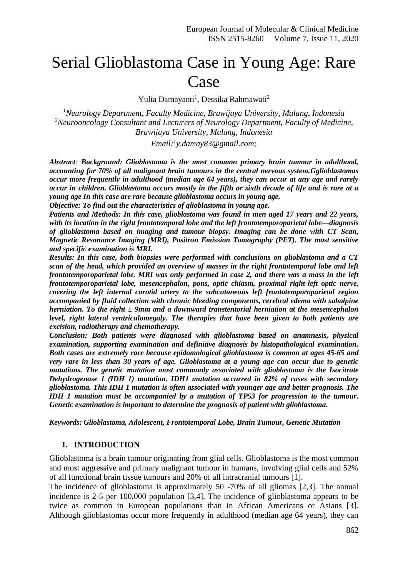# Serial Glioblastoma Case in Young Age: Rare Case

Yulia Damayanti<sup>1</sup>, Dessika Rahmawati<sup>2</sup>

*<sup>1</sup>Neurology Department, Faculty Medicine, Brawijaya University, Malang, Indonesia <sup>2</sup>Neurooncology Consultant and Lecturers of Neurology Department, Faculty of Medicine, Brawijaya University, Malang, Indonesia*

*Email:<sup>1</sup> y.damay83@gmail.com;*

*Abstract: Background: Glioblastoma is the most common primary brain tumour in adulthood, accounting for 70% of all malignant brain tumours in the central nervous system.Gglioblastomas occur more frequently in adulthood (median age 64 years), they can occur at any age and rarely occur in children. Glioblastoma occurs mostly in the fifth or sixth decade of life and is rare at a young age In this case are rare because glioblastoma occurs in young age.*

*Objective: To find out the characteristics of glioblastoma in young age.*

*Patients and Methods: In this case, glioblastoma was found in men aged 17 years and 22 years, with its location in the right frontotemporal lobe and the left frontotemporoparietal lobe—diagnosis of glioblastoma based on imaging and tumour biopsy. Imaging can be done with CT Scan, Magnetic Resonance Imaging (MRI), Positron Emission Tomography (PET). The most sensitive and specific examination is MRI.* 

*Results: In this case, both biopsies were performed with conclusions on glioblastoma and a CT scan of the head, which provided an overview of masses in the right frontotemporal lobe and left frontotemporoparietal lobe. MRI was only performed in case 2, and there was a mass in the left frontotemporoparietal lobe, mesencephalon, pons, optic chiasm, proximal right-left optic nerve, covering the left internal carotid artery to the subcutaneous left frontotemporoparietal region accompanied by fluid collection with chronic bleeding components, cerebral edema with subalpine herniation. To the right ± 9mm and a downward transtentorial herniation at the mesencephalon level, right lateral ventriculomegaly. The therapies that have been given to both patients are excision, radiotherapy and chemotherapy.*

*Conclusion: Both patients were diagnosed with glioblastoma based on anamnesis, physical examination, supporting examination and definitive diagnosis by histopathological examination. Both cases are extremely rare because epidomological glioblastoma is common at ages 45-65 and very rare in less than 30 years of age. Glioblastoma at a young age can occur due to genetic mutations. The genetic mutation most commonly associated with glioblastoma is the Isocitrate Dehydrogenase 1 (IDH 1) mutation. IDH1 mutation occurred in 82% of cases with secondary glioblastoma. This IDH 1 mutation is often associated with younger age and better prognosis. The IDH 1 mutation must be accompanied by a mutation of TP53 for progression to the tumour. Genetic examination is important to determine the prognosis of patient with glioblastoma.*

*Keywords: Glioblastoma, Adolescent, Frontotemporal Lobe, Brain Tumour, Genetic Mutation*

#### **1. INTRODUCTION**

Glioblastoma is a brain tumour originating from glial cells. Glioblastoma is the most common and most aggressive and primary malignant tumour in humans, involving glial cells and 52% of all functional brain tissue tumours and 20% of all intracranial tumours [1].

The incidence of glioblastoma is approximately 50 -70% of all gliomas [2,3]. The annual incidence is 2-5 per 100,000 population [3,4]. The incidence of glioblastoma appears to be twice as common in European populations than in African Americans or Asians [3]. Although glioblastomas occur more frequently in adulthood (median age 64 years), they can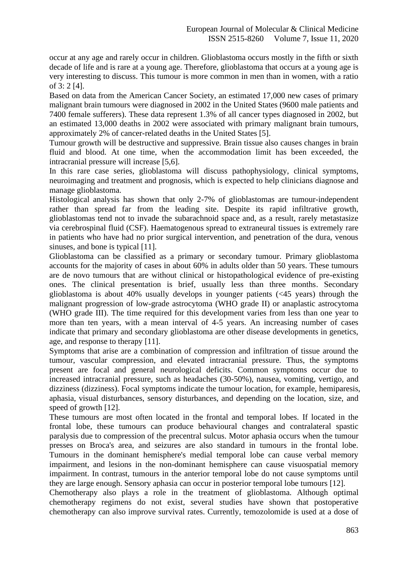occur at any age and rarely occur in children. Glioblastoma occurs mostly in the fifth or sixth decade of life and is rare at a young age. Therefore, glioblastoma that occurs at a young age is very interesting to discuss. This tumour is more common in men than in women, with a ratio of 3: 2 [4].

Based on data from the American Cancer Society, an estimated 17,000 new cases of primary malignant brain tumours were diagnosed in 2002 in the United States (9600 male patients and 7400 female sufferers). These data represent 1.3% of all cancer types diagnosed in 2002, but an estimated 13,000 deaths in 2002 were associated with primary malignant brain tumours, approximately 2% of cancer-related deaths in the United States [5].

Tumour growth will be destructive and suppressive. Brain tissue also causes changes in brain fluid and blood. At one time, when the accommodation limit has been exceeded, the intracranial pressure will increase [5,6].

In this rare case series, glioblastoma will discuss pathophysiology, clinical symptoms, neuroimaging and treatment and prognosis, which is expected to help clinicians diagnose and manage glioblastoma.

Histological analysis has shown that only 2-7% of glioblastomas are tumour-independent rather than spread far from the leading site. Despite its rapid infiltrative growth, glioblastomas tend not to invade the subarachnoid space and, as a result, rarely metastasize via cerebrospinal fluid (CSF). Haematogenous spread to extraneural tissues is extremely rare in patients who have had no prior surgical intervention, and penetration of the dura, venous sinuses, and bone is typical [11].

Glioblastoma can be classified as a primary or secondary tumour. Primary glioblastoma accounts for the majority of cases in about 60% in adults older than 50 years. These tumours are de novo tumours that are without clinical or histopathological evidence of pre-existing ones. The clinical presentation is brief, usually less than three months. Secondary glioblastoma is about 40% usually develops in younger patients (<45 years) through the malignant progression of low-grade astrocytoma (WHO grade II) or anaplastic astrocytoma (WHO grade III). The time required for this development varies from less than one year to more than ten years, with a mean interval of 4-5 years. An increasing number of cases indicate that primary and secondary glioblastoma are other disease developments in genetics, age, and response to therapy [11].

Symptoms that arise are a combination of compression and infiltration of tissue around the tumour, vascular compression, and elevated intracranial pressure. Thus, the symptoms present are focal and general neurological deficits. Common symptoms occur due to increased intracranial pressure, such as headaches (30-50%), nausea, vomiting, vertigo, and dizziness (dizziness). Focal symptoms indicate the tumour location, for example, hemiparesis, aphasia, visual disturbances, sensory disturbances, and depending on the location, size, and speed of growth [12].

These tumours are most often located in the frontal and temporal lobes. If located in the frontal lobe, these tumours can produce behavioural changes and contralateral spastic paralysis due to compression of the precentral sulcus. Motor aphasia occurs when the tumour presses on Broca's area, and seizures are also standard in tumours in the frontal lobe. Tumours in the dominant hemisphere's medial temporal lobe can cause verbal memory impairment, and lesions in the non-dominant hemisphere can cause visuospatial memory impairment. In contrast, tumours in the anterior temporal lobe do not cause symptoms until they are large enough. Sensory aphasia can occur in posterior temporal lobe tumours [12].

Chemotherapy also plays a role in the treatment of glioblastoma. Although optimal chemotherapy regimens do not exist, several studies have shown that postoperative chemotherapy can also improve survival rates. Currently, temozolomide is used at a dose of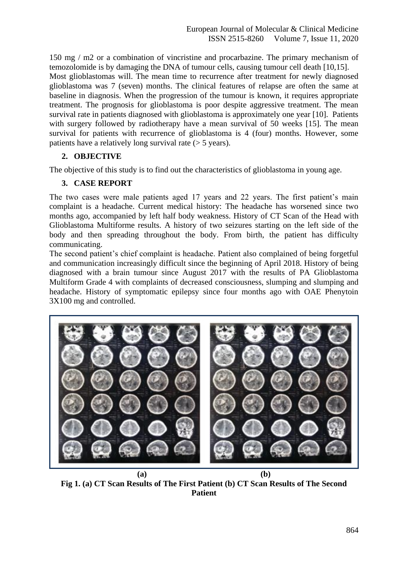150 mg / m2 or a combination of vincristine and procarbazine. The primary mechanism of temozolomide is by damaging the DNA of tumour cells, causing tumour cell death [10,15]. Most glioblastomas will. The mean time to recurrence after treatment for newly diagnosed glioblastoma was 7 (seven) months. The clinical features of relapse are often the same at baseline in diagnosis. When the progression of the tumour is known, it requires appropriate treatment. The prognosis for glioblastoma is poor despite aggressive treatment. The mean survival rate in patients diagnosed with glioblastoma is approximately one year [10]. Patients with surgery followed by radiotherapy have a mean survival of 50 weeks [15]. The mean survival for patients with recurrence of glioblastoma is 4 (four) months. However, some patients have a relatively long survival rate (> 5 years).

## **2. OBJECTIVE**

The objective of this study is to find out the characteristics of glioblastoma in young age.

## **3. CASE REPORT**

The two cases were male patients aged 17 years and 22 years. The first patient's main complaint is a headache. Current medical history: The headache has worsened since two months ago, accompanied by left half body weakness. History of CT Scan of the Head with Glioblastoma Multiforme results. A history of two seizures starting on the left side of the body and then spreading throughout the body. From birth, the patient has difficulty communicating.

The second patient's chief complaint is headache. Patient also complained of being forgetful and communication increasingly difficult since the beginning of April 2018. History of being diagnosed with a brain tumour since August 2017 with the results of PA Glioblastoma Multiform Grade 4 with complaints of decreased consciousness, slumping and slumping and headache. History of symptomatic epilepsy since four months ago with OAE Phenytoin 3X100 mg and controlled.



**(a) (b) Fig 1. (a) CT Scan Results of The First Patient (b) CT Scan Results of The Second Patient**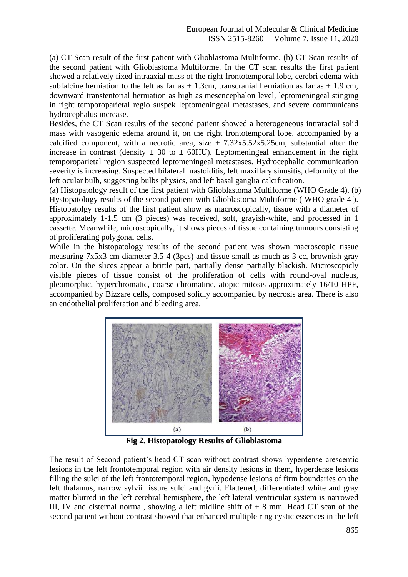(a) CT Scan result of the first patient with Glioblastoma Multiforme. (b) CT Scan results of the second patient with Glioblastoma Multiforme. In the CT scan results the first patient showed a relatively fixed intraaxial mass of the right frontotemporal lobe, cerebri edema with subfalcine herniation to the left as far as  $\pm$  1.3cm, transcranial herniation as far as  $\pm$  1.9 cm, downward transtentorial herniation as high as mesencephalon level, leptomeningeal stinging in right temporoparietal regio suspek leptomeningeal metastases, and severe communicans hydrocephalus increase.

Besides, the CT Scan results of the second patient showed a heterogeneous intraracial solid mass with vasogenic edema around it, on the right frontotemporal lobe, accompanied by a calcified component, with a necrotic area, size  $\pm$  7.32x5.52x5.25cm, substantial after the increase in contrast (density  $\pm$  30 to  $\pm$  60HU). Leptomeningeal enhancement in the right temporoparietal region suspected leptomeningeal metastases. Hydrocephalic communication severity is increasing. Suspected bilateral mastoiditis, left maxillary sinusitis, deformity of the left ocular bulb, suggesting bulbs physics, and left basal ganglia calcification.

(a) Histopatology result of the first patient with Glioblastoma Multiforme (WHO Grade 4). (b) Hystopatology results of the second patient with Glioblastoma Multiforme ( WHO grade 4 ). Histopatolgy results of the first patient show as macroscopically, tissue with a diameter of approximately 1-1.5 cm (3 pieces) was received, soft, grayish-white, and processed in 1 cassette. Meanwhile, microscopically, it shows pieces of tissue containing tumours consisting of proliferating polygonal cells.

While in the histopatology results of the second patient was shown macroscopic tissue measuring 7x5x3 cm diameter 3.5-4 (3pcs) and tissue small as much as 3 cc, brownish gray color. On the slices appear a brittle part, partially dense partially blackish. Microscopicly visible pieces of tissue consist of the proliferation of cells with round-oval nucleus, pleomorphic, hyperchromatic, coarse chromatine, atopic mitosis approximately 16/10 HPF, accompanied by Bizzare cells, composed solidly accompanied by necrosis area. There is also an endothelial proliferation and bleeding area.



**Fig 2. Histopatology Results of Glioblastoma**

The result of Second patient's head CT scan without contrast shows hyperdense crescentic lesions in the left frontotemporal region with air density lesions in them, hyperdense lesions filling the sulci of the left frontotemporal region, hypodense lesions of firm boundaries on the left thalamus, narrow sylvii fissure sulci and gyrii. Flattened, differentiated white and gray matter blurred in the left cerebral hemisphere, the left lateral ventricular system is narrowed III, IV and cisternal normal, showing a left midline shift of  $\pm 8$  mm. Head CT scan of the second patient without contrast showed that enhanced multiple ring cystic essences in the left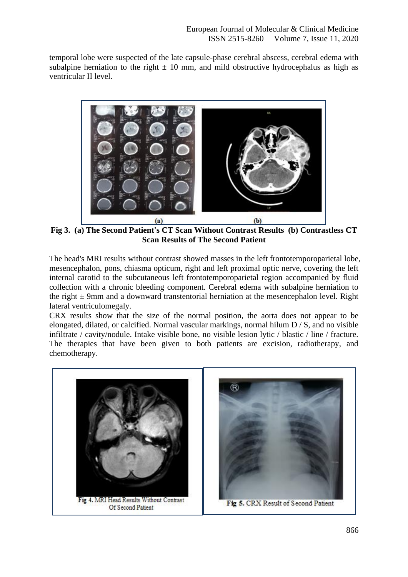temporal lobe were suspected of the late capsule-phase cerebral abscess, cerebral edema with subalpine herniation to the right  $\pm 10$  mm, and mild obstructive hydrocephalus as high as ventricular II level.



**Fig 3. (a) The Second Patient's CT Scan Without Contrast Results (b) Contrastless CT Scan Results of The Second Patient**

The head's MRI results without contrast showed masses in the left frontotemporoparietal lobe, mesencephalon, pons, chiasma opticum, right and left proximal optic nerve, covering the left internal carotid to the subcutaneous left frontotemporoparietal region accompanied by fluid collection with a chronic bleeding component. Cerebral edema with subalpine herniation to the right  $\pm$  9mm and a downward transtentorial herniation at the mesencephalon level. Right lateral ventriculomegaly.

CRX results show that the size of the normal position, the aorta does not appear to be elongated, dilated, or calcified. Normal vascular markings, normal hilum D / S, and no visible infiltrate / cavity/nodule. Intake visible bone, no visible lesion lytic / blastic / line / fracture. The therapies that have been given to both patients are excision, radiotherapy, and chemotherapy.

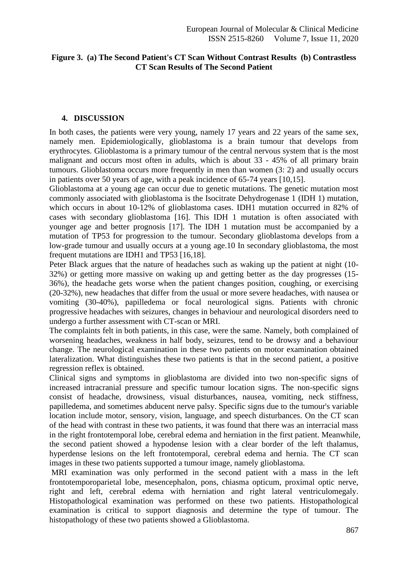## **Figure 3. (a) The Second Patient's CT Scan Without Contrast Results (b) Contrastless CT Scan Results of The Second Patient**

### **4. DISCUSSION**

In both cases, the patients were very young, namely 17 years and 22 years of the same sex, namely men. Epidemiologically, glioblastoma is a brain tumour that develops from erythrocytes. Glioblastoma is a primary tumour of the central nervous system that is the most malignant and occurs most often in adults, which is about 33 - 45% of all primary brain tumours. Glioblastoma occurs more frequently in men than women (3: 2) and usually occurs in patients over 50 years of age, with a peak incidence of 65-74 years [10,15].

Glioblastoma at a young age can occur due to genetic mutations. The genetic mutation most commonly associated with glioblastoma is the Isocitrate Dehydrogenase 1 (IDH 1) mutation, which occurs in about 10-12% of glioblastoma cases. IDH1 mutation occurred in 82% of cases with secondary glioblastoma [16]. This IDH 1 mutation is often associated with younger age and better prognosis [17]. The IDH 1 mutation must be accompanied by a mutation of TP53 for progression to the tumour. Secondary glioblastoma develops from a low-grade tumour and usually occurs at a young age.10 In secondary glioblastoma, the most frequent mutations are IDH1 and TP53 [16,18].

Peter Black argues that the nature of headaches such as waking up the patient at night (10- 32%) or getting more massive on waking up and getting better as the day progresses (15- 36%), the headache gets worse when the patient changes position, coughing, or exercising (20-32%), new headaches that differ from the usual or more severe headaches, with nausea or vomiting (30-40%), papilledema or focal neurological signs. Patients with chronic progressive headaches with seizures, changes in behaviour and neurological disorders need to undergo a further assessment with CT-scan or MRI.

The complaints felt in both patients, in this case, were the same. Namely, both complained of worsening headaches, weakness in half body, seizures, tend to be drowsy and a behaviour change. The neurological examination in these two patients on motor examination obtained lateralization. What distinguishes these two patients is that in the second patient, a positive regression reflex is obtained.

Clinical signs and symptoms in glioblastoma are divided into two non-specific signs of increased intracranial pressure and specific tumour location signs. The non-specific signs consist of headache, drowsiness, visual disturbances, nausea, vomiting, neck stiffness, papilledema, and sometimes abducent nerve palsy. Specific signs due to the tumour's variable location include motor, sensory, vision, language, and speech disturbances. On the CT scan of the head with contrast in these two patients, it was found that there was an interracial mass in the right frontotemporal lobe, cerebral edema and herniation in the first patient. Meanwhile, the second patient showed a hypodense lesion with a clear border of the left thalamus, hyperdense lesions on the left frontotemporal, cerebral edema and hernia. The CT scan images in these two patients supported a tumour image, namely glioblastoma.

MRI examination was only performed in the second patient with a mass in the left frontotemporoparietal lobe, mesencephalon, pons, chiasma opticum, proximal optic nerve, right and left, cerebral edema with herniation and right lateral ventriculomegaly. Histopathological examination was performed on these two patients. Histopathological examination is critical to support diagnosis and determine the type of tumour. The histopathology of these two patients showed a Glioblastoma.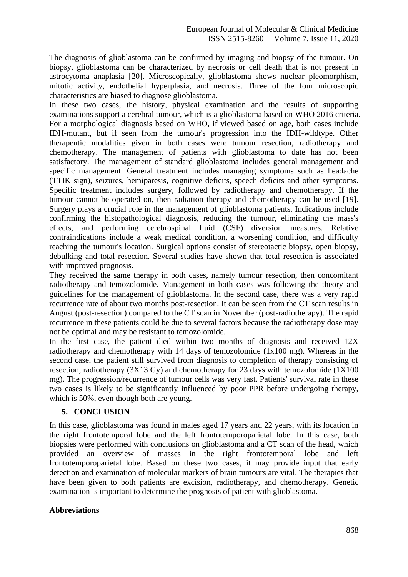The diagnosis of glioblastoma can be confirmed by imaging and biopsy of the tumour. On biopsy, glioblastoma can be characterized by necrosis or cell death that is not present in astrocytoma anaplasia [20]. Microscopically, glioblastoma shows nuclear pleomorphism, mitotic activity, endothelial hyperplasia, and necrosis. Three of the four microscopic characteristics are biased to diagnose glioblastoma.

In these two cases, the history, physical examination and the results of supporting examinations support a cerebral tumour, which is a glioblastoma based on WHO 2016 criteria. For a morphological diagnosis based on WHO, if viewed based on age, both cases include IDH-mutant, but if seen from the tumour's progression into the IDH-wildtype. Other therapeutic modalities given in both cases were tumour resection, radiotherapy and chemotherapy. The management of patients with glioblastoma to date has not been satisfactory. The management of standard glioblastoma includes general management and specific management. General treatment includes managing symptoms such as headache (TTIK sign), seizures, hemiparesis, cognitive deficits, speech deficits and other symptoms. Specific treatment includes surgery, followed by radiotherapy and chemotherapy. If the tumour cannot be operated on, then radiation therapy and chemotherapy can be used [19]. Surgery plays a crucial role in the management of glioblastoma patients. Indications include confirming the histopathological diagnosis, reducing the tumour, eliminating the mass's effects, and performing cerebrospinal fluid (CSF) diversion measures. Relative contraindications include a weak medical condition, a worsening condition, and difficulty reaching the tumour's location. Surgical options consist of stereotactic biopsy, open biopsy, debulking and total resection. Several studies have shown that total resection is associated with improved prognosis.

They received the same therapy in both cases, namely tumour resection, then concomitant radiotherapy and temozolomide. Management in both cases was following the theory and guidelines for the management of glioblastoma. In the second case, there was a very rapid recurrence rate of about two months post-resection. It can be seen from the CT scan results in August (post-resection) compared to the CT scan in November (post-radiotherapy). The rapid recurrence in these patients could be due to several factors because the radiotherapy dose may not be optimal and may be resistant to temozolomide.

In the first case, the patient died within two months of diagnosis and received 12X radiotherapy and chemotherapy with 14 days of temozolomide (1x100 mg). Whereas in the second case, the patient still survived from diagnosis to completion of therapy consisting of resection, radiotherapy (3X13 Gy) and chemotherapy for 23 days with temozolomide (1X100 mg). The progression/recurrence of tumour cells was very fast. Patients' survival rate in these two cases is likely to be significantly influenced by poor PPR before undergoing therapy, which is 50%, even though both are young.

### **5. CONCLUSION**

In this case, glioblastoma was found in males aged 17 years and 22 years, with its location in the right frontotemporal lobe and the left frontotemporoparietal lobe. In this case, both biopsies were performed with conclusions on glioblastoma and a CT scan of the head, which provided an overview of masses in the right frontotemporal lobe and left frontotemporoparietal lobe. Based on these two cases, it may provide input that early detection and examination of molecular markers of brain tumours are vital. The therapies that have been given to both patients are excision, radiotherapy, and chemotherapy. Genetic examination is important to determine the prognosis of patient with glioblastoma.

### **Abbreviations**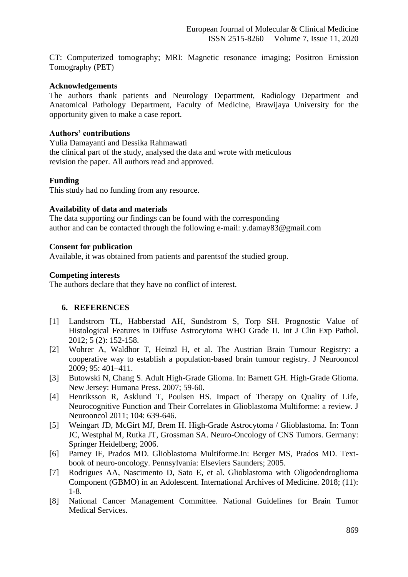CT: Computerized tomography; MRI: Magnetic resonance imaging; Positron Emission Tomography (PET)

#### **Acknowledgements**

The authors thank patients and Neurology Department, Radiology Department and Anatomical Pathology Department, Faculty of Medicine, Brawijaya University for the opportunity given to make a case report.

### **Authors' contributions**

Yulia Damayanti and Dessika Rahmawati the clinical part of the study, analysed the data and wrote with meticulous revision the paper. All authors read and approved.

#### **Funding**

This study had no funding from any resource.

#### **Availability of data and materials**

The data supporting our findings can be found with the corresponding author and can be contacted through the following e-mail: y.damay83@gmail.com

#### **Consent for publication**

Available, it was obtained from patients and parentsof the studied group.

#### **Competing interests**

The authors declare that they have no conflict of interest.

### **6. REFERENCES**

- [1] Landstrom TL, Habberstad AH, Sundstrom S, Torp SH. Prognostic Value of Histological Features in Diffuse Astrocytoma WHO Grade II. Int J Clin Exp Pathol. 2012; 5 (2): 152-158.
- [2] Wohrer A, Waldhor T, Heinzl H, et al. The Austrian Brain Tumour Registry: a cooperative way to establish a population-based brain tumour registry. J Neurooncol 2009; 95: 401–411.
- [3] Butowski N, Chang S. Adult High-Grade Glioma. In: Barnett GH. High-Grade Glioma. New Jersey: Humana Press. 2007; 59-60.
- [4] Henriksson R, Asklund T, Poulsen HS. Impact of Therapy on Quality of Life, Neurocognitive Function and Their Correlates in Glioblastoma Multiforme: a review. J Neurooncol 2011; 104: 639-646.
- [5] Weingart JD, McGirt MJ, Brem H. High-Grade Astrocytoma / Glioblastoma. In: Tonn JC, Westphal M, Rutka JT, Grossman SA. Neuro-Oncology of CNS Tumors. Germany: Springer Heidelberg; 2006.
- [6] Parney IF, Prados MD. Glioblastoma Multiforme.In: Berger MS, Prados MD. Textbook of neuro-oncology. Pennsylvania: Elseviers Saunders; 2005.
- [7] Rodrigues AA, Nascimento D, Sato E, et al. Glioblastoma with Oligodendroglioma Component (GBMO) in an Adolescent. International Archives of Medicine. 2018; (11): 1-8.
- [8] National Cancer Management Committee. National Guidelines for Brain Tumor Medical Services.